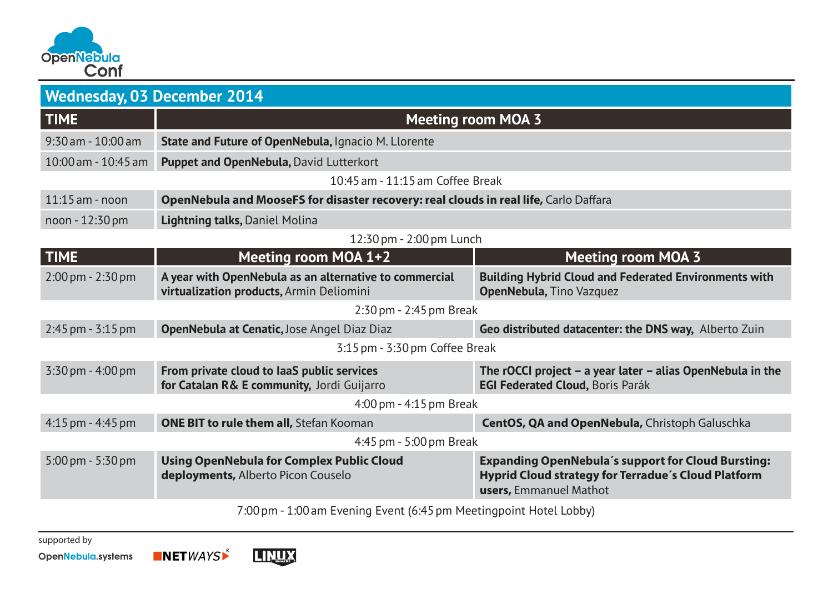

| <b>Wednesday, 03 December 2014</b> |                                                                                                    |                                                                                                                                            |  |
|------------------------------------|----------------------------------------------------------------------------------------------------|--------------------------------------------------------------------------------------------------------------------------------------------|--|
| <b>TIME</b>                        | <b>Meeting room MOA 3</b>                                                                          |                                                                                                                                            |  |
| $9:30$ am - $10:00$ am             | State and Future of OpenNebula, Ignacio M. Llorente                                                |                                                                                                                                            |  |
| 10:00 am - 10:45 am                | Puppet and OpenNebula, David Lutterkort                                                            |                                                                                                                                            |  |
| 10:45 am - 11:15 am Coffee Break   |                                                                                                    |                                                                                                                                            |  |
| $11:15$ am - noon                  | OpenNebula and MooseFS for disaster recovery: real clouds in real life, Carlo Daffara              |                                                                                                                                            |  |
| noon - 12:30 pm                    | Lightning talks, Daniel Molina                                                                     |                                                                                                                                            |  |
| 12:30 pm - 2:00 pm Lunch           |                                                                                                    |                                                                                                                                            |  |
| <b>TIME</b>                        | Meeting room MOA 1+2                                                                               | <b>Meeting room MOA 3</b>                                                                                                                  |  |
| $2:00 \,\mathrm{pm}$ - 2:30 pm     | A year with OpenNebula as an alternative to commercial<br>virtualization products, Armin Deliomini | <b>Building Hybrid Cloud and Federated Environments with</b><br>OpenNebula, Tino Vazquez                                                   |  |
| 2:30 pm - 2:45 pm Break            |                                                                                                    |                                                                                                                                            |  |
| 2:45 pm - 3:15 pm                  | OpenNebula at Cenatic, Jose Angel Diaz Diaz                                                        | Geo distributed datacenter: the DNS way, Alberto Zuin                                                                                      |  |
| 3:15 pm - 3:30 pm Coffee Break     |                                                                                                    |                                                                                                                                            |  |
| 3:30 pm - 4:00 pm                  | From private cloud to laaS public services<br>for Catalan R& E community, Jordi Guijarro           | The rOCCI project $-$ a year later $-$ alias OpenNebula in the<br><b>EGI Federated Cloud, Boris Parák</b>                                  |  |
| 4:00 pm - 4:15 pm Break            |                                                                                                    |                                                                                                                                            |  |
| 4:15 pm - 4:45 pm                  | <b>ONE BIT to rule them all, Stefan Kooman</b>                                                     | CentOS, QA and OpenNebula, Christoph Galuschka                                                                                             |  |
| 4:45 pm - 5:00 pm Break            |                                                                                                    |                                                                                                                                            |  |
| 5:00 pm - 5:30 pm                  | <b>Using OpenNebula for Complex Public Cloud</b><br>deployments, Alberto Picon Couselo             | <b>Expanding OpenNebula's support for Cloud Bursting:</b><br>Hyprid Cloud strategy for Terradue's Cloud Platform<br>users, Emmanuel Mathot |  |
|                                    | $7.00 \times 1000$ and $F = 1.1$ and $F = 1.1$ and $F = 1.1$ and $F = 1.1$ and $F = 1.1$           |                                                                                                                                            |  |

7:00pm - 1:00am Evening Event (6:45pm Meetingpoint Hotel Lobby)

supported by